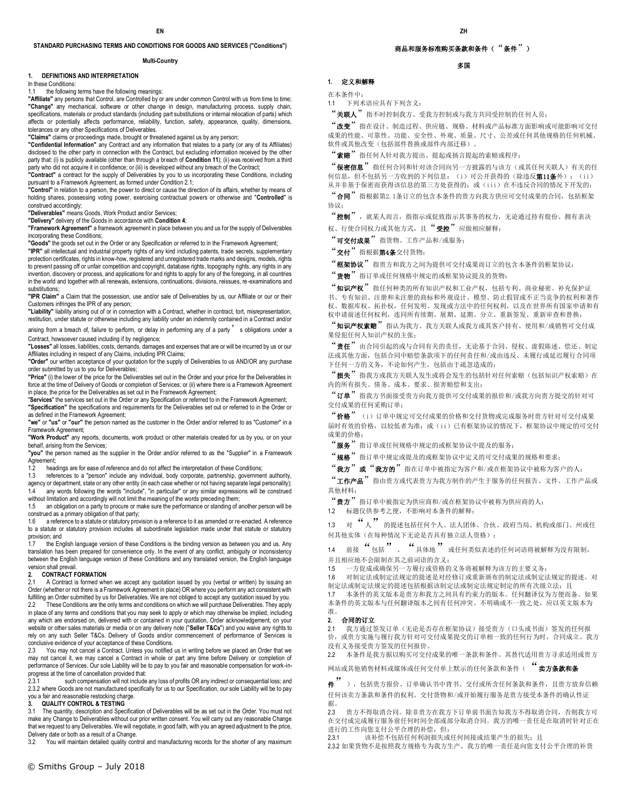## **STANDARD PURCHASING TERMS AND CONDITIONS FOR GOODS AND SERVICES ("Conditions")**

#### **Multi-Country**

#### **1. DEFINITIONS AND INTERPRETATION**

In these Conditions:

### 1.1 the following terms have the following meanings:

**"Affiliate"** any persons that Control, are Controlled by or are under common Control with us from time to time; **"Change"** any mechanical, software or other change in design, manufacturing process, supply chain, specifications, materials or product standards (including part substitutions or internal relocation of parts) which affects or potentially affects performance, reliability, function, safety, appearance, quality, dimensions, tolerances or any other Specifications of Deliverables.

**"Claims"** claims or proceedings made, brought or threatened against us by any person;

**"Confidential Information"** any Contract and any information that relates to a party (or any of its Affiliates) disclosed to the other party in connection with the Contract, but excluding information received by the other party that: (i) is publicly available (other than through a breach of **Condition 11**); (ii) was received from a third party who did not acquire it in confidence; or (iii) is developed without any breach of the Contract;

**"Contract"** a contract for the supply of Deliverables by you to us incorporating these Conditions, including pursuant to a Framework Agreement, as formed under Condition 2.1;

**"Control"** in relation to a person, the power to direct or cause the direction of its affairs, whether by means of holding shares, possessing voting power, exercising contractual powers or otherwise and "**Controlled**" is construed accordingly;

**"Deliverables"** means Goods, Work Product and/or Services; **"Delivery"** delivery of the Goods in accordance with **Condition 4**;

**"Framework Agreement"** a framework agreement in place between you and us for the supply of Deliverables incorporating these Conditions;

**"Goods"** the goods set out in the Order or any Specification or referred to in the Framework Agreement;

**"IPR"** all intellectual and industrial property rights of any kind including patents, trade secrets, supplementary protection certificates, rights in know-how, registered and unregistered trade marks and designs, models, rights .<br>to prevent passing off or unfair competition and copyright, database rights, topography rights, any rights in any invention, discovery or process, and applications for and rights to apply for any of the foregoing, in all countries in the world and together with all renewals, extensions, continuations, divisions, reissues, re-examinations and substitutions;

**"IPR Claim"** a Claim that the possession, use and/or sale of Deliverables by us, our Affiliate or our or their Customers infringes the IPR of any person;

**"Liability"** liability arising out of or in connection with a Contract, whether in contract, tort, misrepresentation, restitution, under statute or otherwise including any liability under an indemnity contained in a Contract and/or

arising from a breach of, failure to perform, or delay in performing any of a party  $'$  s obligations under a Contract, howsoever caused including if by negligence;

**"Losses"** all losses, liabilities, costs, demands, damages and expenses that are or will be incurred by us or our Affiliates including in respect of any Claims, including IPR Claims;

**"Order"** our written acceptance of your quotation for the supply of Deliverables to us AND/OR any purchase order submitted by us to you for Deliverables;

**"Price"** (i) the lower of the price for the Deliverables set out in the Order and your price for the Deliverables in force at the time of Delivery of Goods or completion of Services; or (ii) where there is a Framework Agreement in place, the price for the Deliverables as set out in the Framework Agreement;

"**Services**" the services set out in the Order or any Specification or referred to in the Framework Agreement; **"Specification"** the specifications and requirements for the Deliverables set out or referred to in the Order or as defined in the Framework Agreement;

**"we"** or **"us"** or **"our"** the person named as the customer in the Order and/or referred to as "Customer" in a Framework Agreement;

**"Work Product"** any reports, documents, work product or other materials created for us by you, or on your behalf, arising from the Services;

**"you"** the person named as the supplier in the Order and/or referred to as the "Supplier" in a Framework

Agreement;<br>1.2 head 1.2 headings are for ease of reference and do not affect the interpretation of these Conditions;<br>1.3 references to a "person" include anv individual. body corporate, partnership, governmer

references to a "person" include any individual, body corporate, partnership, government authority, agency or department, state or any other entity (in each case whether or not having separate legal personality);

1.4 any words following the words "include", "in particular" or any similar expressions will be construed without limitation and accordingly will not limit the meaning of the words preceding them;

1.5 an obligation on a party to procure or make sure the performance or standing of another person will be construed as a primary obligation of that party;<br>1.6 a reference to a statute or statutory prov

a reference to a statute or statutory provision is a reference to it as amended or re-enacted. A reference to a statute or statutory provision includes all subordinate legislation made under that statute or statutory provision; and

1.7 the English language version of these Conditions is the binding version as between you and us. Any translation has been prepared for convenience only. In the event of any conflict, ambiguity or inconsistency between the English language version of these Conditions and any translated version, the English language version shall prevail.

#### **2. CONTRACT FORMATION**

2.1 A Contract is formed when we accept any quotation issued by you (verbal or written) by issuing an Order (whether or not there is a Framework Agreement in place) OR where you perform any act consistent with fulfilling an Order submitted by us for Deliverables. We are not obliged to accept any quotation issued by you.<br>2.2 These Conditions are the only terms and conditions on which we will purchase Deliverables. They apply These Conditions are the only terms and conditions on which we will purchase Deliverables. They apply in place of any terms and conditions that you may seek to apply or which may otherwise be implied, including any which are endorsed on, delivered with or contained in your quotation, Order acknowledgement, on your website or other sales materials or media or on any delivery note ("**Seller T&Cs**") and you waive any rights to rely on any such Seller T&Cs. Delivery of Goods and/or commencement of performance of Services is conclusive evidence of your acceptance of these Conditions.

2.3 You may not cancel a Contract. Unless you notified us in writing before we placed an Order that we may not cancel it, we may cancel a Contract in whole or part any time before Delivery or completion of performance of Services. Our sole Liability will be to pay to you fair and reasonable compensation for work-inprogress at the time of cancellation provided that:<br>2.3.1 such compensation will not include

such compensation will not include any loss of profits OR any indirect or consequential loss; and 2.3.2 where Goods are not manufactured specifically for us to our Specification, our sole Liability will be to pay you a fair and reasonable restocking charge.

#### **3. QUALITY CONTROL & TESTING**

3.1 The quantity, description and Specification of Deliverables will be as set out in the Order. You must not make any Change to Deliverables without our prior written consent. You will carry out any reasonable Change that we request to any Deliverables. We will negotiate, in good faith, with you an agreed adjustment to the price, Delivery date or both as a result of a Change.

3.2 You will maintain detailed quality control and manufacturing records for the shorter of any maximum

# 商品和服务标准购买条款和条件("条件")

# 多国

**1.** 定义和解释

在本条件中:

1.1 下列术语应具有下列含义:

"关联人"指不时控制我方、受我方控制或与我方共同受控制的任何人员;

"改变"指在设计、制造过程、供应链、规格、材料或产品标准方面影响或可能影响可交付 成果的性能、可靠性、功能、安全性、外观、质量、尺寸、公差或任何其他规格的任何机械、 软件或其他改变(包括部件替换或部件内部迁移)。

"索赔"指任何人针对我方提出、提起或扬言提起的索赔或程序;

"保密信息"指任何合同和针对该合同向另一方披露的与该方(或其任何关联人)有关的任 何信息,但不包括另一方收到的下列信息: (i) 可公开获得的(除违反**第11条**外); (ii) 从并非基于保密而获得该信息的第三方处获得的;或(iii)在不违反合同的情况下开发的;

"合同"指根据第2.1条订立的包含本条件的贵方向我方供应可交付成果的合同,包括框架 协议;

"控制", 就某人而言, 指指示或促致指示其事务的权力, 无论通过持有股份、拥有表决 权、行使合同权力或其他方式,且"'受控'"应做相应解释;

"可交付成果"指货物、工作产品和/或服务;

"交付"指根据第4条交付货物;

"**框架协议"**指贵方和我方之间为提供可交付成果而订立的包含本条件的框架协议;

"货物"指订单或任何规格中规定的或框架协议提及的货物;

"知识产权"指任何种类的所有知识产权和工业产权,包括专利、商业秘密、补充保护证 书、专有知识、注册和未注册的商标和外观设计、模型、防止假冒或不正当竞争的权利和著作 权、数据库权、拓扑权,任何发明、发现或方法中的任何权利,以及在世界所有国家申请和有 权申请前述任何权利,连同所有续期、展期、延期、分立、重新签发、重新审查和替换;

"知识产权索赔"指认为我方、我方关联人或我方或其客户持有、使用和/或销售可交付成 果侵犯任何人知识产权的主张;

"责任"由合同引起的或与合同有关的责任,无论基于合同、侵权、虚假陈述、偿还、制定 法或其他方面,包括合同中赔偿条款项下的任何责任和/或由违反、未履行或延迟履行合同项 下任何一方的义务,不论如何产生,包括由于疏忽造成的;

"损失"指我方或我方关联人发生或将会发生的包括针对任何索赔(包括知识产权索赔)在 内的所有损失、债务、成本、要求、损害赔偿和支出;

"订单"指我方书面接受贵方向我方提供可交付成果的报价和/或我方向贵方提交的针对可 交付成果的任何采购订单;

"价格" (i) 订单中规定可交付成果的价格和交付货物或完成服务时贵方针对可交付成果 届时有效的价格,以较低者为准;或(ii)已有框架协议的情况下,框架协议中规定的可交付 成果的价格;

"服务"指订单或任何规格中规定的或框架协议中提及的服务;

"规格"指订单中规定或提及的或框架协议中定义的可交付成果的规格和要求;

"我方"或"我方的"指在订单中被指定为客户和/或在框架协议中被称为客户的人;

"工作产品"指由贵方或代表贵方为我方制作的产生于服务的任何报告、文件、工作产品或 其他材料;

"贵方"指订单中被指定为供应商和/或在框架协议中被称为供应商的人;

1.2 标题仅供参考之便,不影响对本条件的解释;

1.3 <sup>对</sup>"人"的提述包括任何个人、法人团体、合伙、政府当局、机构或部门、州或任 何其他实体(在每种情况下无论是否具有独立法人资格);

1.4 前接  $\frac{a}{b}$ 包括  $\frac{b}{c}$  ( 具体地  $\frac{b}{d}$  或任何类似表述的任何词语将被解释为没有限制, 并且相应地不会限制在其之前词语的含义;

1.5 一方促成或确保另一方履行或资格的义务将被解释为该方的主要义务;

1.6 对制定法或制定法规定的提述是对经修订或重新颁布的制定法或制定法规定的提述。对 制定法或制定法规定的提述包括根据该制定法或制定法规定制定的所有次级立法;且 1.7 本条件的英文版本是贵方和我方之间具有约束力的版本。任何翻译仅为方便而备。如果

本条件的英文版本与任何翻译版本之间有任何冲突、不明确或不一致之处,应以英文版本为 准。

### **2.** 合同的订立

2.1 我方通过签发订单(无论是否存在框架协议)接受贵方(口头或书面)签发的任何报 价,或贵方实施与履行我方针对可交付成果提交的订单相一致的任何行为时,合同成立。我方 没有义务接受贵方签发的任何报价。

2.2 本条件是我方据以购买可交付成果的唯一条款和条件。其替代适用贵方寻求适用或贵方

网站或其他销售材料或媒体或任何交付单上默示的任何条款和条件("卖方条款和条

<sup>件</sup>"),包括贵方报价、订单确认书中背书、交付或所含任何条款和条件,且贵方放弃信赖 任何该卖方条款和条件的权利。交付货物和/或开始履行服务是贵方接受本条件的确认性证 据。

2.3 贵方不得取消合同。除非贵方在我方下订单前书面告知我方不得取消合同,否则我方可 在交付或完成履行服务前任何时间全部或部分取消合同。我方的唯一责任是在取消时针对正在 进行的工作向您支付公平合理的补偿,但:

2.3.1 该补偿不包括任何利润损失或任何间接或结果产生的损失;且

2.3.2 如果货物不是按照我方规格专为我方生产,我方的唯一责任是向您支付公平合理的补货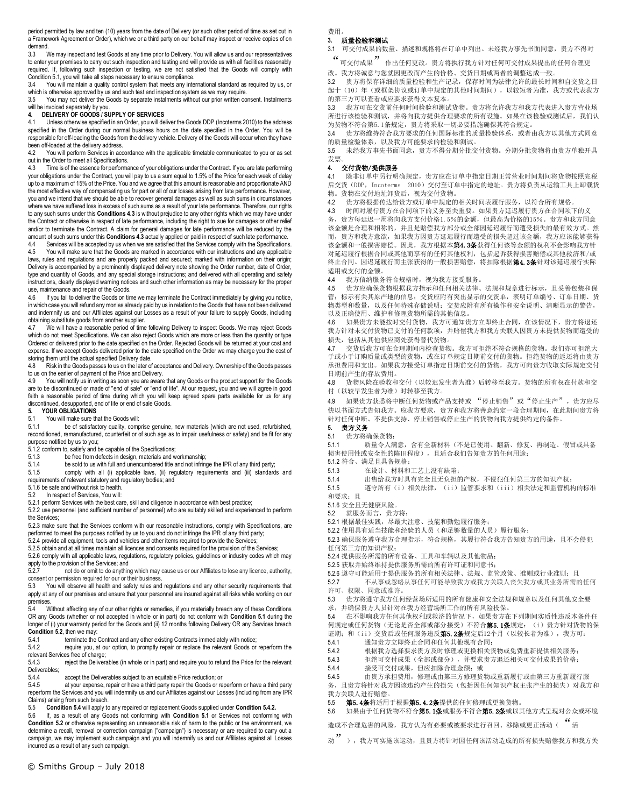period permitted by law and ten (10) years from the date of Delivery (or such other period of time as set out in a Framework Agreement or Order), which we or a third party on our behalf may inspect or receive copies of on demand.<br> $3.3 \times 1$ 

We may inspect and test Goods at any time prior to Delivery. You will allow us and our representatives to enter your premises to carry out such inspection and testing and will provide us with all facilities reasonably required. If, following such inspection or testing, we are not satisfied that the Goods will comply with Condition 5.1, you will take all steps necessary to ensure compliance.

3.4 You will maintain a quality control system that meets any international standard as required by us, or which is otherwise approved by us and such test and inspection system as we may require.<br>3.5 You may not deliver the Goods by separate instalments without our prior written cor

3.5 You may not deliver the Goods by separate instalments without our prior written consent. Instalments will be invoiced separately by you.

# **4. DELIVERY OF GOODS / SUPPLY OF SERVICES**

4.1 Unless otherwise specified in an Order, you will deliver the Goods DDP (Incoterms 2010) to the address specified in the Order during our normal business hours on the date specified in the Order. You will be responsible for off-loading the Goods from the delivery vehicle. Delivery of the Goods will occur when they have been off-loaded at the delivery address.

4.2 You will perform Services in accordance with the applicable timetable communicated to you or as set out in the Order to meet all Specifications.

4.3 Time is of the essence for performance of your obligations under the Contract. If you are late performing your obligations under the Contract, you will pay to us a sum equal to 1.5% of the Price for each week of delay up to a maximum of 15% of the Price. You and we agree that this amount is reasonable and proportionate AND the most effective way of compensating us for part or all of our losses arising from late performance. However, you and we intend that we should be able to recover general damages as well as such sums in circumstances where we have suffered loss in excess of such sums as a result of your late performance. Therefore, our rights to any such sums under this **Conditions 4.3** is without prejudice to any other rights which we may have under the Contract or otherwise in respect of late performance, including the right to sue for damages or other relief and/or to terminate the Contract. A claim for general damages for late performance will be reduced by the amount of such sums under this **Conditions 4.3** actually applied or paid in respect of such late performance.

Services will be accepted by us when we are satisfied that the Services comply with the Specifications. 4.5 You will make sure that the Goods are marked in accordance with our instructions and any applicable laws, rules and regulations and are properly packed and secured; marked with information on their origin: Delivery is accompanied by a prominently displayed delivery note showing the Order number, date of Order, type and quantity of Goods, and any special storage instructions; and delivered with all operating and safety instructions, clearly displayed warning notices and such other information as may be necessary for the proper use, maintenance and repair of the Goods.

4.6 If you fail to deliver the Goods on time we may terminate the Contract immediately by giving you notice, in which case you will refund any monies already paid by us in relation to the Goods that have not been delivered and indemnify us and our Affiliates against our Losses as a result of your failure to supply Goods, including obtaining substitute goods from another supplier.

4.7 We will have a reasonable period of time following Delivery to inspect Goods. We may reject Goods which do not meet Specifications. We can also reject Goods which are more or less than the quantity or type Ordered or delivered prior to the date specified on the Order. Rejected Goods will be returned at your cost and expense. If we accept Goods delivered prior to the date specified on the Order we may charge you the cost of storing them until the actual specified Delivery date.<br>4.8 Risk in the Goods passes to us on the later of

Risk in the Goods passes to us on the later of acceptance and Delivery. Ownership of the Goods passes to us on the earlier of payment of the Price and Delivery.

4.9 You will notify us in writing as soon you are aware that any Goods or the product support for the Goods are to be discontinued or made of "end of sale" or "end of life". At our request, you and we will agree in good faith a reasonable period of time during which you will keep agreed spare parts available for us for any discontinued, desupported, end of life or end of sale Goods.

# **5. YOUR OBLIGATIONS**<br>**5.1** You will make sure the

5.1 You will make sure that the Goods will:

5.1.1 be of satisfactory quality, comprise genuine, new materials (which are not used, refurbished, reconditioned, remanufactured, counterfeit or of such age as to impair usefulness or safety) and be fit for any purpose notified by us to you;

5.1.2 conform to, satisfy and be capable of the Specifications;

5.1.3 be free from defects in design, materials and workmanship;<br>5.1.4 be sold to us with full and unencumbered title and not infrinc

be sold to us with full and unencumbered title and not infringe the IPR of any third party;

5.1.5 comply with all (i) applicable laws, (ii) regulatory requirements and (iii) standards and requirements of relevant statutory and regulatory bodies; and

5.1.6 be safe and without risk to health.

5.2 In respect of Services, You will:

5.2.1 perform Services with the best care, skill and diligence in accordance with best practice; 5.2.2 use personnel (and sufficient number of personnel) who are suitably skilled and experienced to perform the Services;

5.2.3 make sure that the Services conform with our reasonable instructions, comply with Specifications, are performed to meet the purposes notified by us to you and do not infringe the IPR of any third party;

5.2.4 provide all equipment, tools and vehicles and other items required to provide the Services;

5.2.5 obtain and at all times maintain all licences and consents required for the provision of the Services;

5.2.6 comply with all applicable laws, regulations, regulatory policies, guidelines or industry codes which may apply to the provision of the Services; and<br>5.2.7 pot do or omit to do anything

5.2.7 not do or omit to do anything which may cause us or our Affiliates to lose any licence, authority, consent or permission required for our or their business.

5.3 You will observe all health and safety rules and regulations and any other security requirements that apply at any of our premises and ensure that your personnel are insured against all risks while working on our premises.

5.4 Without affecting any of our other rights or remedies, if you materially breach any of these Conditions OR any Goods (whether or not accepted in whole or in part) do not conform with **Condition 5.1** during the longer of (i) your warranty period for the Goods and (ii) 12 months following Delivery OR any Services breach **Condition 5.2**, then we may:

5.4.1 terminate the Contract and any other existing Contracts immediately with notice;

5.4.2 require you, at our option, to promptly repair or replace the relevant Goods or reperform the relevant Services free of charge;<br>5.4.3 reject the Delivera

reject the Deliverables (in whole or in part) and require you to refund the Price for the relevant Deliverables;<br>5.4.4

5.4.4 accept the Deliverables subject to an equitable Price reduction; or<br>5.4.5 at your expense repair or have a third party repair the Goods or rep

at your expense, repair or have a third party repair the Goods or reperform or have a third party reperform the Services and you will indemnify us and our Affiliates against our Losses (including from any IPR Claims) arising from such breach.<br>5.5 **Condition 5.4** will apply to

5.5 **Condition 5.4** will apply to any repaired or replacement Goods supplied under **Condition 5.4.2.**

5.6 If, as a result of any Goods not conforming with **Condition 5.1** or Services not conforming with **Condition 5.2** or otherwise representing an unreasonable risk of harm to the public or the environment, we determine a recall, removal or correction campaign ("campaign") is necessary or are required to carry out a campaign, we may implement such campaign and you will indemnify us and our Affiliates against all Losses incurred as a result of any such campaign.

费用。

# **3.** 质量检验和测试

3.1 可交付成果的数量、描述和规格将在订单中列出。未经我方事先书面同意,贵方不得对

"可交付成果"作出任何更改。贵方将执行我方针对任何可交付成果提出的任何合理更

改。我方将诚意与您就因更改而产生的价格、交货日期或两者的调整达成一致。

3.2 贵方将保存详细的质量检验和生产记录,保存时间为法律允许的最长时间和自交货之日 起十(10)年(或框架协议或订单中规定的其他时间期间),以较短者为准,我方或代表我方 的第三方可以查看或应要求获得文本复本。

3.3 我方可在交货前任何时间检验和测试货物。贵方将允许我方和我方代表进入贵方营业场 所进行该检验和测试,并将向我方提供合理要求的所有设施。如果在该检验或测试后,我们认 为货物不符合第5.1条规定,贵方将采取一切必要措施确保其符合规定。

3.4 贵方将维持符合我方要求的任何国际标准的质量检验体系,或者由我方以其他方式同意 的质量检验体系,以及我方可能要求的检验和测试。

3.5 未经我方事先书面同意,贵方不得分期分批交付货物。分期分批货物将由贵方单独开具 发票。

# **4.** 交付货物/提供服务

4.1 除非订单中另行明确规定,贵方应在订单中指定日期正常营业时间期间将货物按照完税 后交货(DDP, Incoterms 2010)交付至订单中指定的地址。贵方将负责从运输工具上卸载货 物。货物在交付地址卸货后,视为交付货物。

4.2 贵方将根据传达给贵方或订单中规定的相关时间表履行服务,以符合所有规格。

4.3 时间对履行贵方在合同项下的义务至关重要。如果贵方延迟履行贵方在合同项下的义

务,贵方每延迟一周将向我方支付价格1.5%的金额,但最高为价格的15%。贵方和我方同意 该金额是合理和相称的,并且是赔偿我方部分或全部因延迟履行而遭受损失的最有效方式。然 而,贵方和我方意欲,如果我方因贵方延迟履行而遭受的损失超过该金额,我方应该能够获得 该金额和一般损害赔偿。因此,我方根据本第4.3条获得任何该等金额的权利不会影响我方针 对延迟履行根据合同或其他而享有的任何其他权利,包括起诉获得损害赔偿或其他救济和/或 终止合同。因迟延履行而主张获得的一般损害赔偿,将扣除根据第4.3条针对该延迟履行实际 适用或支付的金额。

4.4 我方信纳服务符合规格时,视为我方接受服务。

4.5 贵方应确保货物根据我方指示和任何相关法律、法规和规章进行标示,且妥善包装和保 管;标示有关其原产地的信息;交货应附有突出显示的交货单,表明订单编号、订单日期、货 物类型和数量,以及任何特殊存储说明;交货应附有所有操作和安全说明、清晰显示的警告, 以及正确使用、维护和修理货物所需的其他信息。

4.6 如果贵方未能按时交付货物,我方可通知贵方立即终止合同,在该情况下,贵方将退还 我方针对未交付货物已支付的任何款项,并赔偿我方和我方关联人因贵方未提供货物而遭受的 损失,包括从其他供应商处获得替代货物。

4.7 交货后我方可在合理期间内检查货物。我方可拒绝不符合规格的货物。我们亦可拒绝大 于或小于订购质量或类型的货物,或在订单规定日期前交付的货物。拒绝货物的返还将由贵方 承担费用和支出。如果我方接受订单指定日期前交付的货物,我方可向贵方收取实际规定交付 日期前产生的存放费用。

4.8 货物风险在验收和交付(以较迟发生者为准)后转移至我方。货物的所有权在付款和交 付(以较早发生者为准)时转移至我方。

4.9 如果贵方获悉将中断任何货物或产品支持或 "停止销售"或"停止生产",贵方应尽 快以书面方式告知我方。应我方要求,贵方和我方将善意约定一段合理期间,在此期间贵方将 针对任何中断、不提供支持、停止销售或停止生产的货物向我方提供约定的备件。

**5.** 贵方义务

5.1 贵方将确保货物:

5.1.1 质量令人满意,含有全新材料(不是已使用、翻新、修复、再制造、假冒或具备 损害使用性或安全性的陈旧程度),且适合我们告知贵方的任何用途;

5.1.2 符合、满足且具备规格; 5.1.3 在设计、材料和工艺上没有缺陷;

5.1.4 出售给我方时具有完全且无负担的产权,不侵犯任何第三方的知识产权; 5.1.5 遵守所有(i)相关法律,(ii)监管要求和(iii)相关法定和监管机构的标准

和要求;且

5.1.6 安全且无健康风险。

5.2 就服务而言,贵方将:

5.2.1 根据最佳实践,尽最大注意、技能和勤勉履行服务;

5.2.2 使用具有适当技能和经验的人员(和足够数量的人员)履行服务;

5.2.3 确保服务遵守我方合理指示,符合规格,其履行符合我方告知贵方的用途,且不会侵犯 任何第三方的知识产权;

5.2.4 提供服务所需的所有设备、工具和车辆以及其他物品;

5.2.5 获取并始终维持提供服务所需的所有许可证和同意书;

5.2.6 遵守可能适用于提供服务的所有相关法律、法规、监管政策、准则或行业准则;且

5.2.7 不从事或忽略从事任何可能导致我方或我方关联人丧失我方或其业务所需的任何 许可、权限、同意或准许。

5.3 贵方将遵守我方任何经营场所适用的所有健康和安全法规和规章以及任何其他安全要

求,并确保贵方人员针对在我方经营场所工作的所有风险投保。

5.4 在不影响我方任何其他权利或救济的情况下,如果贵方在下列期间实质性违反本条件任 \*: http://www.http://defect.com/defect.com/defect.com/defect.com/defect/industrial/http://defect.com/defect/in<br>何规定或任何货物(无论是否全部或部分接受)不符合**第5.1条**规定: (i)贵方针对货物的保

证期;和(ii)交货后或任何服务违反第5.2条规定后12个月(以较长者为准),我方可:

5.4.1 通知贵方立即终止合同和任何其他现有合同;

5.4.2 根据我方选择要求贵方及时修理或更换相关货物或免费重新提供相关服务;

5.4.3 拒绝可交付成果(全部或部分),并要求贵方退还相关可交付成果的价格;<br>5.4.4 接受可交付成果,但应扣除会理全额,或 接受可交付成果,但应扣除合理金额;或

5.4.5 由贵方承担费用,修理或由第三方修理货物或重新履行或由第三方重新履行服 务,且贵方将针对我方因该违约产生的损失(包括因任何知识产权主张产生的损失)对我方和 我方关联人进行赔偿。

5.5 第5.4条将适用于根据第5.4.2条提供的任何修理或更换货物。

5.6 如果由于任何货物不符合第5.1条或服务不符合第5.2条或以其他方式呈现对公众或环境

造成不合理危害的风险,我方认为有必要或被要求进行召回、移除或更正活动("活

动"),我方可实施该运动,且贵方将针对因任何该活动造成的所有损失赔偿我方和我方关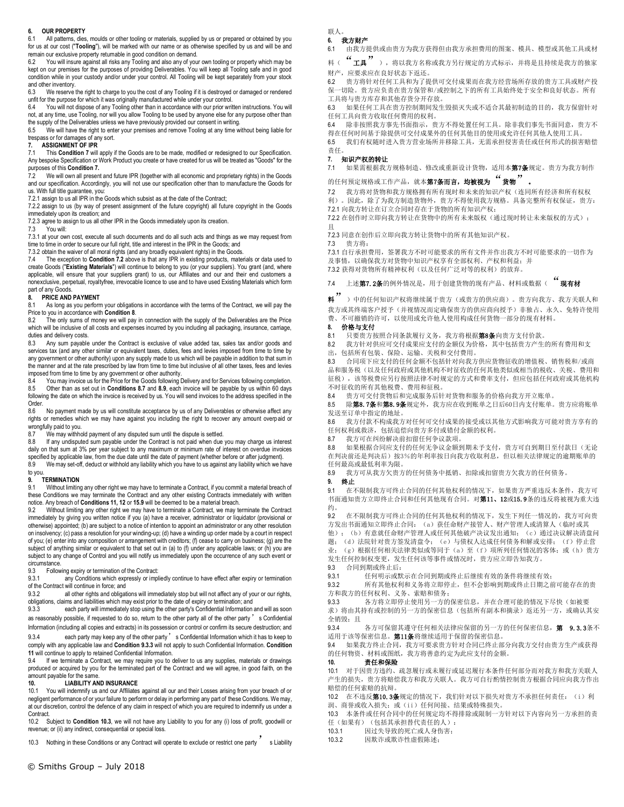#### **6. OUR PROPERTY**

6.1 All patterns, dies, moulds or other tooling or materials, supplied by us or prepared or obtained by you for us at our cost ("**Tooling**"), will be marked with our name or as otherwise specified by us and will be and remain our exclusive property returnable in good condition on demand.

You will insure against all risks any Tooling and also any of your own tooling or property which may be kept on our premises for the purposes of providing Deliverables. You will keep all Tooling safe and in good condition while in your custody and/or under your control. All Tooling will be kept separately from your stock and other inventory.

6.3 We reserve the right to charge to you the cost of any Tooling if it is destroyed or damaged or rendered unfit for the purpose for which it was originally manufactured while under your control.

6.4 You will not dispose of any Tooling other than in accordance with our prior written instructions. You will not, at any time, use Tooling, nor will you allow Tooling to be used by anyone else for any purpose other than the supply of the Deliverables unless we have previously provided our consent in writing.

6.5 We will have the right to enter your premises and remove Tooling at any time without being liable for trespass or for damages of any sort.

#### **7. ASSIGNMENT OF IPR**

7.1 This **Condition 7** will apply if the Goods are to be made, modified or redesigned to our Specification. Any bespoke Specification or Work Product you create or have created for us will be treated as "Goods" for the purposes of this **Condition 7.**

7.2 We will own all present and future IPR (together with all economic and proprietary rights) in the Goods and our specification. Accordingly, you will not use our specification other than to manufacture the Goods for us. With full title guarantee, you:

7.2.1 assign to us all IPR in the Goods which subsist as at the date of the Contract;

7.2.2 assign to us (by way of present assignment of the future copyright) all future copyright in the Goods immediately upon its creation; and

7.2.3 agree to assign to us all other IPR in the Goods immediately upon its creation.<br>7.3 You will:

You will:

7.3.1 at your own cost, execute all such documents and do all such acts and things as we may request from time to time in order to secure our full right, title and interest in the IPR in the Goods; and

7.3.2 obtain the waiver of all moral rights (and any broadly equivalent rights) in the Goods. 7.4 The exception to **Condition 7.2** above is that any IPR in existing products, materials or data used to

create Goods ("**Existing Materials**") will continue to belong to you (or your suppliers). You grant (and, where applicable, will ensure that your suppliers grant) to us, our Affiliates and our and their end customers a nonexclusive, perpetual, royaltyfree, irrevocable licence to use and to have used Existing Materials which form part of any Goods.

#### **8. PRICE AND PAYMENT**

8.1 As long as you perform your obligations in accordance with the terms of the Contract, we will pay the Price to you in accordance with **Condition 8**.

The only sums of money we will pay in connection with the supply of the Deliverables are the Price which will be inclusive of all costs and expenses incurred by you including all packaging, insurance, carriage, duties and delivery costs.

8.3 Any sum payable under the Contract is exclusive of value added tax, sales tax and/or goods and services tax (and any other similar or equivalent taxes, duties, fees and levies imposed from time to time by any government or other authority) upon any supply made to us which will be payable in addition to that sum in the manner and at the rate prescribed by law from time to time but inclusive of all other taxes, fees and levies imposed from time to time by any government or other authority.

8.4 You may invoice us for the Price for the Goods following Delivery and for Services following completion. 8.5 Other than as set out in Conditions 8.7 and 8.9, each invoice will be payable by us within 60 days<br>following the date on which the invoice is received by us. You will send invoices to the address specified in the Order.

8.6 No payment made by us will constitute acceptance by us of any Deliverables or otherwise affect any rights or remedies which we may have against you including the right to recover any amount overpaid or wrongfully paid to you.<br>8.7 We may withho

8.7 We may withhold payment of any disputed sum until the dispute is settled.<br>8.8 If any undisputed sum payable under the Contract is not paid when due

8.8 If any undisputed sum payable under the Contract is not paid when due you may charge us interest daily on that sum at 3% per year subject to any maximum or minimum rate of interest on overdue invoices specified by applicable law, from the due date until the date of payment (whether before or after judgment).

8.9 We may set-off, deduct or withhold any liability which you have to us against any liability which we have

#### to you. **9. TERMINATION**

9.1 Without limiting any other right we may have to terminate a Contract, if you commit a material breach of these Conditions we may terminate the Contract and any other existing Contracts immediately with written notice. Any breach of **Conditions 11, 12** or **15.9** will be deemed to be a material breach.

9.2 Without limiting any other right we may have to terminate a Contract, we may terminate the Contract immediately by giving you written notice if you (a) have a receiver, administrator or liquidator (provisional or otherwise) appointed; (b) are subject to a notice of intention to appoint an administrator or any other resolution on insolvency; (c) pass a resolution for your winding-up; (d) have a winding up order made by a court in respect of you; (e) enter into any composition or arrangement with creditors; (f) cease to carry on business; (g) are the subject of anything similar or equivalent to that set out in (a) to (f) under any applicable laws; or (h) you are subject to any change of Control and you will notify us immediately upon the occurrence of any such event or circumstance.<br>9.3 Follow

9.3 Following expiry or termination of the Contract:<br>9.3.1 any Conditions which expressly or implement

any Conditions which expressly or impliedly continue to have effect after expiry or termination of the Contract will continue in force; and<br>9.3.2 all other rights and obligation

all other rights and obligations will immediately stop but will not affect any of your or our rights, obligations, claims and liabilities which may exist prior to the date of expiry or termination; and

9.3.3 each party will immediately stop using the other party's Confidential Information and will as soon as reasonably possible, if requested to do so, return to the other party all of the other party' s Confidential Information (including all copies and extracts) in its possession or control or confirm its secure destruction; and

9.3.4 each party may keep any of the other party' s Confidential Information which it has to keep to comply with any applicable law and **Condition 9.3.3** will not apply to such Confidential Information. **Condition** 

**11** will continue to apply to retained Confidential Information.<br>9.4 If we terminate a Contract we may require you to a If we terminate a Contract, we may require you to deliver to us any supplies, materials or drawings produced or acquired by you for the terminated part of the Contract and we will agree, in good faith, on the amount payable for the same.

#### **10. LIABILITY AND INSURANCE**

10.1 You will indemnify us and our Affiliates against all our and their Losses arising from your breach of or negligent performance of or your failure to perform or delay in performing any part of these Conditions. We may, at our discretion, control the defence of any claim in respect of which you are required to indemnify us under a Contract.

10.2 Subject to **Condition 10.3**, we will not have any Liability to you for any (i) loss of profit, goodwill or revenue; or (ii) any indirect, consequential or special loss.

10.3 Nothing in these Conditions or any Contract will operate to exclude or restrict one party s Liability

联人。 **6.** 我方财产

6.1 由我方提供或由贵方为我方获得但由我方承担费用的图案、模具、模型或其他工具或材

料( "工具"),将以我方名称或我方另行规定的方式标示,并将是且持续是我方的独家 财产,应要求应在良好状态下返还。

6.2 贵方将针对任何工具和为了提供可交付成果而在我方经营场所存放的贵方工具或财产投 保一切险。贵方应负责在贵方保管和/或控制之下的所有工具始终处于安全和良好状态。所有 工具将与贵方库存和其他存货分开存放。

6.3 如果任何工具在贵方控制期间发生毁损灭失或不适合其最初制造的目的,我方保留针对 任何工具向贵方收取任何费用的权利。

6.4 除非按照我方事先书面指示,贵方不得处置任何工具。除非我们事先书面同意,贵方不 得在任何时间基于除提供可交付成果外的任何其他目的使用或允许任何其他人使用工具。

6.5 我们有权随时进入贵方营业场所并移除工具,无需承担侵害责任或任何形式的损害赔偿 责任。

#### **7.** 知识产权的转让

7.1 如果需根据我方规格制造、修改或重新设计货物,适用本第7条规定。贵方为我方制作

# 的任何预定规格或工作产品,就本第7条而言,均被视为"货物"。

7.2 我方将对货物和我方规格拥有所有现时和未来的知识产权(连同所有经济和所有权权 利)。因此,除了为我方制造货物外,贵方不得使用我方规格。具备完整所有权保证,贵方: 7.2.1 向我方转让在订立合同时存在于货物的所有知识产权;

7.2.2 在创作时立即向我方转让在货物中的所有未来版权(通过现时转让未来版权的方式); 且

7.2.3 同意在创作后立即向我方转让货物中的所有其他知识产权。

7.3 贵方将:

7.3.1 自行承担费用,签署我方不时可能要求的所有文件并作出我方不时可能要求的一切作为 及事情,以确保我方对货物中知识产权享有全部权利、产权和利益;并 7.3.2 获得对货物所有精神权利(以及任何广泛对等的权利)的放弃。

7.4 上述**第7.2条**的例外情况是,用于创建货物的现有产品、材料或数据( "现有材

<sup>料</sup>")中的任何知识产权将继续属于贵方(或贵方的供应商)。贵方向我方、我方关联人和 我方或其终端客户授予(并视情况而定确保贵方的供应商向授予)非独占、永久、免特许使用 费、不可撤销的许可,以使用或允许他人使用构成任何货物一部分的现有材料。

# **8.** 价格与支付

8.1 只要贵方按照合同条款履行义务,我方将根据第8条向贵方支付价款。

8.2 我方针对供应可交付成果应支付的金额仅为价格,其中包括贵方产生的所有费用和支

出,包括所有包装、保险、运输、关税和交付费用。

8.3 合同项下应支付的任何金额不包括针对向我方供应货物征收的增值税、销售税和/或商 品和服务税(以及任何政府或其他机构不时征收的任何其他类似或相当的税收、关税、费用和 征税),该等税费应另行按照法律不时规定的方式和费率支付,但应包括任何政府或其他机构 不时征收的所有其他税费、费用和征税。

8.4 贵方可交付货物后和完成服务后针对货物和服务的价格向我方开立账单。

8.5 除第8.7条和第8.9条规定外,我方应在收到账单之日后60日内支付账单。贵方应将账单 发送至订单中指定的地址。

8.6 我方付款不构成我方对任何可交付成果的接受或以其他方式影响我方可能对贵方享有的 任何权利或救济,包括追偿向贵方多付或错付金额的权利。

8.7 我方可在纠纷解决前扣留任何争议款项。

8.8 如果根据合同应支付的任何无争议金额到期未予支付,贵方可自到期日至付款日(无论 在判决前还是判决后)按3%的年利率按日向我方收取利息,但以相关法律规定的逾期账单的 任何最高或最低利率为限。

8.9 我方可从我方欠贵方的任何债务中抵销、扣除或扣留贵方欠我方的任何债务

**9.** 终止

9.1 在不限制我方可终止合同的任何其他权利的情况下,如果贵方严重违反本条件,我方可 书面通知贵方立即终止合同和任何其他现有合同。对第11、12或15.9条的违反将被视为重大违 约。

9.2 在不限制我方可终止合同的任何其他权利的情况下,发生下列任一情况的,我方可向贵 方发出书面通知立即终止合同: (a) 获任命财产接管人、财产管理人或清算人(临时或其 他);(b)有意就任命财产管理人或任何其他破产决议发出通知;(c)通过决议解决清盘问

题;(d)法院针对贵方签发清盘令;(e)与债权人达成任何债务和解或安排;(f)停止营 业; (g)根据任何相关法律类似或等同于(a)至(f)项所列任何情况的客体;或(h)贵方 发生任何控制权变更,发生任何该等事件或情况时,贵方应立即告知我方。

9.3 合同到期或终止后:<br>9.3.1 任何明示或

9.3.1 任何明示或默示在合同到期或终止后继续有效的条件将继续有效;

9.3.2 所有其他权利和义务将立即停止,但不会影响到期或终止日期之前可能存在的贵 方和我方的任何权利、义务、索赔和债务;

9.3.3 各方将立即停止使用另一方的保密信息,并在合理可能的情况下尽快(如被要 求)将由其持有或控制的另一方的保密信息(包括所有副本和摘录)返还另一方,或确认其安 全销毁;且

9.3.4 各方可保留其遵守任何相关法律应保留的另一方的任何保密信息, 第 9.3.3条不 适用于该等保密信息。第11条将继续适用于保留的保密信息。

9.4 如果我方终止合同,我方可要求贵方针对合同已终止部分向我方交付由贵方生产或获得 的任何物资、材料或图纸,我方将善意约定为此应支付的金额。

#### **10.** 责任和保险

10.1 对于因贵方违约、疏忽履行或未履行或延迟履行本条件任何部分而对我方和我方关联人 产生的损失,贵方将赔偿我方和我方关联人。我方可自行酌情控制贵方根据合同应向我方作出 赔偿的任何索赔的抗辩。

10.2 在不违反第10.3条规定的情况下,我们针对以下损失对贵方不承担任何责任: (i) 利 润、商誉或收入损失;或(ii)任何间接、结果或特殊损失。

10.3 本条件或任何合同中的任何规定均不得排除或限制一方针对以下内容向另一方承担的责 任(如果有)(包括其承担替代责任的人):

10.3.1 因过失导致的死亡或人身伤害; 10.3.2 因欺诈或欺诈性虚假陈述;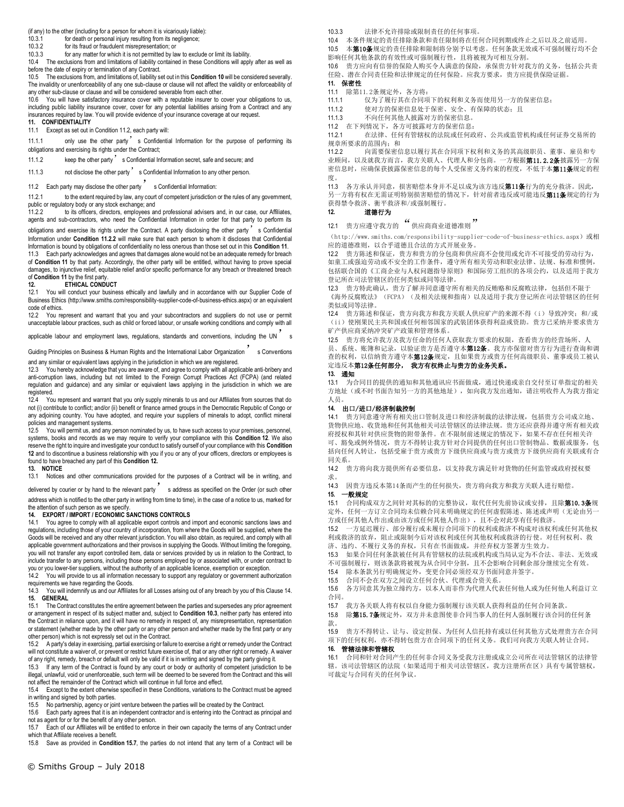(if any) to the other (including for a person for whom it is vicariously liable):

10.3.1 for death or personal injury resulting from its negligence;<br>10.3.2 for its fraud or fraudulent misrepresentation: or

10.3.2 for its fraud or fraudulent misrepresentation; or<br>10.3.3 for any matter for which it is not permitted by law

for any matter for which it is not permitted by law to exclude or limit its liability. 10.4 The exclusions from and limitations of liability contained in these Conditions will apply after as well as before the date of expiry or termination of any Contract.

10.5 The exclusions from, and limitations of, liability set out in this **Condition 10** will be considered severally. The invalidity or unenforceability of any one sub-clause or clause will not affect the validity or enforceability of any other sub-clause or clause and will be considered severable from each other.<br>10.6 You will have satisfactory insurance cover with a reputable insurer to co

10.6 You will have satisfactory insurance cover with a reputable insurer to cover your obligations to us, including public liability insurance cover, cover for any potential liabilities arising from a Contract and any insurances required by law. You will provide evidence of your insurance coverage at our request. **11. CONFIDENTIALITY**

11.1 Except as set out in Condition 11.2, each party will:

11.1.1 only use the other party's Confidential Information for the purpose of performing its obligations and exercising its rights under the Contract;

11.1.2 keep the other party s Confidential Information secret, safe and secure; and

11.1.3 not disclose the other party's Confidential Information to any other person.

11.2 Each party may disclose the other party s Confidential Information:

11.2.1 to the extent required by law, any court of competent jurisdiction or the rules of any government, public or regulatory body or any stock exchange; and 11.2.2 to its officers, directors, employees and

to its officers, directors, employees and professional advisers and, in our case, our Affiliates, agents and sub-contractors, who need the Confidential Information in order for that party to perform its obligations and exercise its rights under the Contract. A party disclosing the other party  $\dot{\hspace{1mm}}$  s Confidential Information under **Condition 11.2.2** will make sure that each person to whom it discloses that Confidential

Information is bound by obligations of confidentiality no less onerous than those set out in this **Condition 11**. 11.3 Each party acknowledges and agrees that damages alone would not be an adequate remedy for breach of **Condition 11** by that party. Accordingly, the other party will be entitled, without having to prove special damages, to injunctive relief, equitable relief and/or specific performance for any breach or threatened breach

#### of **Condition 11** by the first party.<br>12. **ETHICAL CONDU 12. ETHICAL CONDUCT**

12.1 You will conduct your business ethically and lawfully and in accordance with our Supplier Code of Business Ethics (http://www.smiths.com/responsibility-supplier-code-of-business-ethics.aspx) or an equivalent code of ethics.<br>12.2 You re

You represent and warrant that you and your subcontractors and suppliers do not use or permit unacceptable labour practices, such as child or forced labour, or unsafe working conditions and comply with all

applicable labour and employment laws, regulations, standards and conventions, including the UN

Guiding Principles on Business & Human Rights and the International Labor Organization Schowentions and any similar or equivalent laws applying in the jurisdiction in which we are registered.

12.3 You hereby acknowledge that you are aware of, and agree to comply with all applicable anti-bribery and anti-corruption laws, including but not limited to the Foreign Corrupt Practices Act (FCPA) (and related regulation and guidance) and any similar or equivalent laws applying in the jurisdiction in which we are registered.

12.4 You represent and warrant that you only supply minerals to us and our Affiliates from sources that do not (i) contribute to conflict; and/or (ii) benefit or finance armed groups in the Democratic Republic of Congo or any adjoining country. You have adopted, and require your suppliers of minerals to adopt, conflict mineral policies and management systems.

12.5 You will permit us, and any person nominated by us, to have such access to your premises, personnel, systems, books and records as we may require to verify your compliance with this **Condition 12**. We also reserve the right to inquire and investigate your conduct to satisfy ourself of your compliance with this **Condition 12** and to discontinue a business relationship with you if you or any of your officers, directors or employees is found to have breached any part of this **Condition 12.** 

#### **13. NOTICE**

13.1 Notices and other communications provided for the purposes of a Contract will be in writing, and

delivered by courier or by hand to the relevant party's address as specified on the Order (or such other address which is notified to the other party in writing from time to time), in the case of a notice to us, marked for the attention of such person as we specify.

#### **14. EXPORT / IMPORT / ECONOMIC SANCTIONS CONTROLS**

14.1 You agree to comply with all applicable export controls and import and economic sanctions laws and regulations, including those of your country of incorporation, from where the Goods will be supplied, where the Goods will be received and any other relevant jurisdiction. You will also obtain, as required, and comply with all applicable government authorizations and their provisos in supplying the Goods. Without limiting the foregoing, you will not transfer any export controlled item, data or services provided by us in relation to the Contract, to include transfer to any persons, including those persons employed by or associated with, or under contract to you or you lower-tier suppliers, without the authority of an applicable licence, exemption or exception.

14.2 You will provide to us all information necessary to support any regulatory or government authorization requirements we have regarding the Goods.

14.3 You will indemnify us and our Affiliates for all Losses arising out of any breach by you of this Clause 14. **15. GENERAL**

15.1 The Contract constitutes the entire agreement between the parties and supersedes any prior agreement or arrangement in respect of its subject matter and, subject to **Condition 10.3**, neither party has entered into the Contract in reliance upon, and it will have no remedy in respect of, any misrepresentation, representation or statement (whether made by the other party or any other person and whether made by the first party or any other person) which is not expressly set out in the Contract.

15.2 A party's delay in exercising, partial exercising or failure to exercise a right or remedy under the Contract will not constitute a waiver of, or prevent or restrict future exercise of, that or any other right or remedy. A waiver of any right, remedy, breach or default will only be valid if it is in writing and signed by the party giving it.

If any term of the Contract is found by any court or body or authority of competent jurisdiction to be illegal, unlawful, void or unenforceable, such term will be deemed to be severed from the Contract and this will not affect the remainder of the Contract which will continue in full force and effect.

15.4 Except to the extent otherwise specified in these Conditions, variations to the Contract must be agreed in writing and signed by both parties.<br>15.5 No partnership, agency or join

15.5 No partnership, agency or joint venture between the parties will be created by the Contract.

15.6 Each party agrees that it is an independent contractor and is entering into the Contract as principal and not as agent for or for the benefit of any other person.

15.7 Each of our Affiliates will be entitled to enforce in their own capacity the terms of any Contract under which that Affiliate receives a benefit.

15.8 Save as provided in **Condition 15.7**, the parties do not intend that any term of a Contract will be

10.3.3 法律不允许排除或限制责任的任何事项。

10.4 本条件规定的责任排除条款和责任限制将在任何合同到期或终止之后以及之前适用。<br>10.5 本**第10条**规定的责任排除和限制将分别予以考虑。任何条款无效或不可强制履行均7

本第10条规定的责任排除和限制将分别予以考虑。任何条款无效或不可强制履行均不会 影响任何其他条款的有效性或可强制履行性,且将被视为可相互分割。

10.6 贵方应向有信誉的保险人购买令人满意的保险,承保贵方针对我方的义务,包括公共责 任险、潜在合同责任险和法律规定的任何保险。应我方要求,贵方应提供保险证据。 **11.** 保密性

11.1 除第11.2条规定外,各方将:<br>11.1.1 仅为了履行其在合同项 11.1.1 仅为了履行其在合同项下的权利和义务而使用另一方的保密信息;

11.1.2 使对方的保密信息处于保密、安全、有保障的状态;且

11.1.3 不向任何其他人披露对方的保密信息。

11.2 在下列情况下,各方可披露对方的保密信息:

11.2.1 在法律、任何有管辖权的法院或任何政府、公共或监管机构或任何证券交易所的 规章所要求的范围内,和

11.2.2 向需要保密信息以履行其在合同项下权利和义务的其高级职员、董事、雇员和专 业顾问, 以及就我方而言, 我方关联人、代理人和分包商。一方根据**第11.2.2条**披露另一方保 密信息时,应确保获披露保密信息的每个人受保密义务约束的程度,不低于本第11条规定的程 度。

11.3 各方承认并同意,损害赔偿本身并不足以成为该方违反第11条行为的充分救济。因此, 另一方将有权在无需证明特别损害赔偿的情况下,针对前者违反或可能违反第11条规定的行为 获得禁令救济、衡平救济和/或强制履行。

## **12.** 道德行为

12.1 贵方应遵守我方的 "供应商商业道德准则

(http://www.smiths.com/responsibility-supplier-code-of-business-ethics.aspx)或相 应的道德准则,以合乎道德且合法的方式开展业务。

12.2 贵方陈述和保证,贵方和贵方的分包商和供应商不会使用或允许不可接受的劳动行为, 如童工或强迫劳动或不安全的工作条件,遵守所有相关劳动和职业法律、法规、标准和惯例, 包括联合国的《工商企业与人权问题指导原则》和国际劳工组织的各项公约,以及适用于我方 登记所在司法管辖区的任何类似或同等法律。

12.3 贵方特此确认,贵方了解并同意遵守所有相关的反贿赂和反腐败法律,包括但不限于 《海外反腐败法》(FCPA)(及相关法规和指南)以及适用于我方登记所在司法管辖区的任何 类似或同等法律。

12.4 贵方陈述和保证,贵方向我方和我方关联人供应矿产的来源不得(i)导致冲突;和/或 (ii)使刚果民主共和国或任何相邻国家的武装团体获得利益或资助。贵方已采纳并要求贵方 矿产供应商采纳冲突矿产政策和管理体系。

12.5 贵方将允许我方及我方任命的任何人获取我方要求的权限,查看贵方的经营场所、人 员、系统、账簿和记录,以验证贵方是否遵守本**第12条**。我方亦保留对贵方行为进行查询和调 查的权利, 以信纳贵方遵守本**第12条**规定, 且如果贵方或贵方任何高级职员、董事或员工被认 定违反本第12条任何部分, 我方有权终止与贵方的业务关系。

**13.** 通知

13.1 为合同目的提供的通知和其他通讯应书面做成,通过快递或亲自交付至订单指定的相关 方地址(或不时书面告知另一方的其他地址),如向我方发出通知,请注明收件人为我方指定 人员。

### **14.** 出口/进口/经济制裁控制

14.1 贵方同意遵守所有相关出口管制及进口和经济制裁的法律法规,包括贵方公司成立地、 货物供应地、收货地和任何其他相关司法管辖区的法律法规。贵方还应获得并遵守所有相关政 府授权和其针对供应货物的附带条件。在不限制前述规定的情况下,如果不存在任何相关许 可、豁免或例外情况,贵方不得转让我方针对合同提供的任何出口管制物品、数据或服务,包 括向任何人转让,包括受雇于贵方或贵方下级供应商或与贵方或贵方下级供应商有关联或有合 同关系。

14.2 贵方将向我方提供所有必要信息,以支持我方满足针对货物的任何监管或政府授权要 求。

14.3 因贵方违反本第14条而产生的任何损失,贵方将向我方和我方关联人进行赔偿。

**15.** 一般规定

15.1 合同构成双方之间针对其标的的完整协议, 取代任何先前协议或安排, 且除第10.3条规 定外,任何一方订立合同均未信赖合同未明确规定的任何虚假陈述、陈述或声明(无论由另一 方或任何其他人作出或由该方或任何其他人作出),且不会对此享有任何救济。

15.2 一方延迟履行、部分履行或未履行合同项下的权利或救济不构成对该权利或任何其他权 利或救济的放弃,阻止或限制今后对该权利或任何其他权利或救济的行使。对任何权利、救 济、违约、不履行义务的弃权,只有在书面做成,并经弃权方签署方生效力。

15.3 如果合同任何条款被任何具有管辖权的法院或机构或当局认定为不合法、非法、无效或 不可强制履行,则该条款将被视为从合同中分割,且不会影响合同剩余部分继续完全有效。

15.4 除本条款另行明确规定外,变更合同必须经双方书面同意并签字。

15.5 合同不会在双方之间设立任何合伙、代理或合资关系。

15.6 各方同意其为独立缔约方,以本人而非作为代理人代表任何他人或为任何他人利益订立 合同。

15.7 我方各关联人将有权以自身能力强制履行该关联人获得利益的任何合同条款。

15.8 除第15.7条规定外, 双方并未意图使非合同当事人的任何人强制履行该合同的任何条 款。

15.9 贵方不得转让、让与、设定担保、为任何人信托持有或以任何其他方式处理贵方在合同 项下的任何权利,亦不得转包贵方在合同项下的任何义务。我们可向我方关联人转让合同。 **16.** 管辖法律和管辖权

16.1 合同和针对合同产生的任何非合同义务受我方注册或成立公司所在司法管辖区的法律管 辖。该司法管辖区的法院(如果适用于相关司法管辖区,我方注册所在区)具有专属管辖权, 可裁定与合同有关的任何争议。